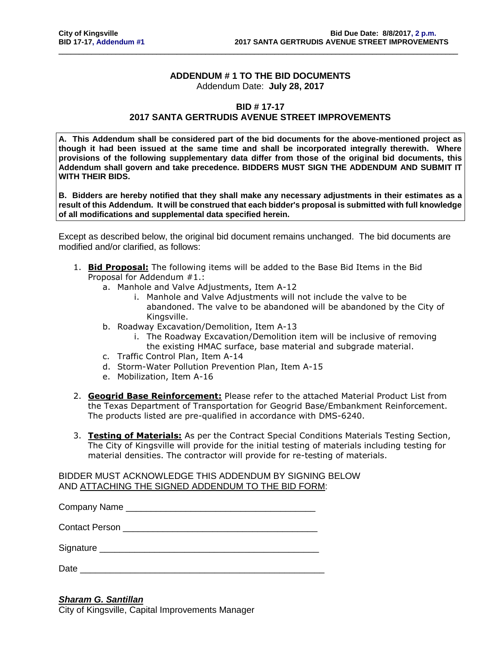#### **ADDENDUM # 1 TO THE BID DOCUMENTS** Addendum Date: **July 28, 2017**

\_\_\_\_\_\_\_\_\_\_\_\_\_\_\_\_\_\_\_\_\_\_\_\_\_\_\_\_\_\_\_\_\_\_\_\_\_\_\_\_\_\_\_\_\_\_\_\_\_\_\_\_\_\_\_\_\_\_\_\_\_\_\_\_\_\_\_\_\_\_\_\_\_\_\_\_\_\_\_\_\_\_\_\_\_\_\_\_\_\_\_\_\_\_\_\_\_\_

#### **BID # 17-17**

#### **2017 SANTA GERTRUDIS AVENUE STREET IMPROVEMENTS**

**A. This Addendum shall be considered part of the bid documents for the above-mentioned project as though it had been issued at the same time and shall be incorporated integrally therewith. Where provisions of the following supplementary data differ from those of the original bid documents, this Addendum shall govern and take precedence. BIDDERS MUST SIGN THE ADDENDUM AND SUBMIT IT WITH THEIR BIDS.**

**B. Bidders are hereby notified that they shall make any necessary adjustments in their estimates as a result of this Addendum. It will be construed that each bidder's proposal is submitted with full knowledge of all modifications and supplemental data specified herein.**

Except as described below, the original bid document remains unchanged. The bid documents are modified and/or clarified, as follows:

- 1. **Bid Proposal:** The following items will be added to the Base Bid Items in the Bid Proposal for Addendum #1.:
	- a. Manhole and Valve Adjustments, Item A-12
		- i. Manhole and Valve Adjustments will not include the valve to be abandoned. The valve to be abandoned will be abandoned by the City of Kingsville.
	- b. Roadway Excavation/Demolition, Item A-13
		- i. The Roadway Excavation/Demolition item will be inclusive of removing the existing HMAC surface, base material and subgrade material.
	- c. Traffic Control Plan, Item A-14
	- d. Storm-Water Pollution Prevention Plan, Item A-15
	- e. Mobilization, Item A-16
- 2. **Geogrid Base Reinforcement:** Please refer to the attached Material Product List from the Texas Department of Transportation for Geogrid Base/Embankment Reinforcement. The products listed are pre-qualified in accordance with DMS-6240.
- 3. **Testing of Materials:** As per the Contract Special Conditions Materials Testing Section, The City of Kingsville will provide for the initial testing of materials including testing for material densities. The contractor will provide for re-testing of materials.

BIDDER MUST ACKNOWLEDGE THIS ADDENDUM BY SIGNING BELOW AND ATTACHING THE SIGNED ADDENDUM TO THE BID FORM:

| <b>Company Name</b> |  |
|---------------------|--|
|                     |  |

Contact Person \_\_\_\_\_\_\_\_\_\_\_\_\_\_\_\_\_\_\_\_\_\_\_\_\_\_\_\_\_\_\_\_\_\_\_\_\_\_\_

Signature **Example 20** 

Date \_\_\_\_\_\_\_\_\_\_\_\_\_\_\_\_\_\_\_\_\_\_\_\_\_\_\_\_\_\_\_\_\_\_\_\_\_\_\_\_\_\_\_\_\_\_\_\_\_

#### *Sharam G. Santillan*

City of Kingsville, Capital Improvements Manager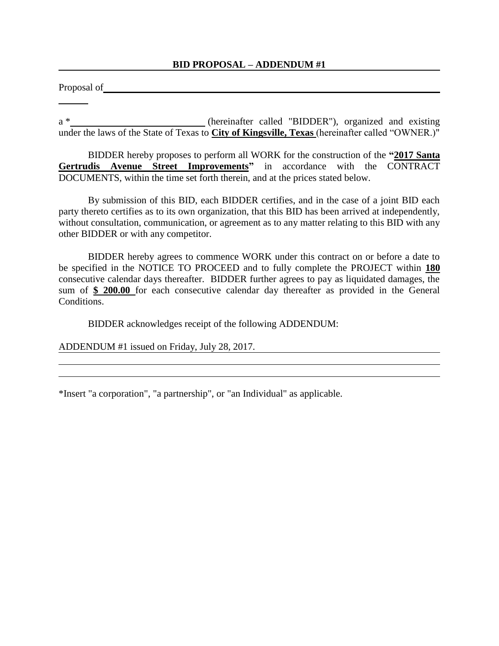#### **BID PROPOSAL – ADDENDUM #1**

Proposal of **by the contract of the contract of the contract of the contract of the contract of the contract of the contract of the contract of the contract of the contract of the contract of the contract of the contract o** 

a \*\_\_\_\_\_\_\_\_\_\_\_\_\_\_\_\_\_\_\_\_\_\_\_\_(hereinafter called "BIDDER"), organized and existing under the laws of the State of Texas to City of Kingsville, Texas (hereinafter called "OWNER.)"

BIDDER hereby proposes to perform all WORK for the construction of the **"2017 Santa Gertrudis Avenue Street Improvements"** in accordance with the CONTRACT DOCUMENTS, within the time set forth therein, and at the prices stated below.

By submission of this BID, each BIDDER certifies, and in the case of a joint BID each party thereto certifies as to its own organization, that this BID has been arrived at independently, without consultation, communication, or agreement as to any matter relating to this BID with any other BIDDER or with any competitor.

BIDDER hereby agrees to commence WORK under this contract on or before a date to be specified in the NOTICE TO PROCEED and to fully complete the PROJECT within **180** consecutive calendar days thereafter. BIDDER further agrees to pay as liquidated damages, the sum of **\$ 200.00** for each consecutive calendar day thereafter as provided in the General Conditions.

BIDDER acknowledges receipt of the following ADDENDUM:

ADDENDUM #1 issued on Friday, July 28, 2017.

\*Insert "a corporation", "a partnership", or "an Individual" as applicable.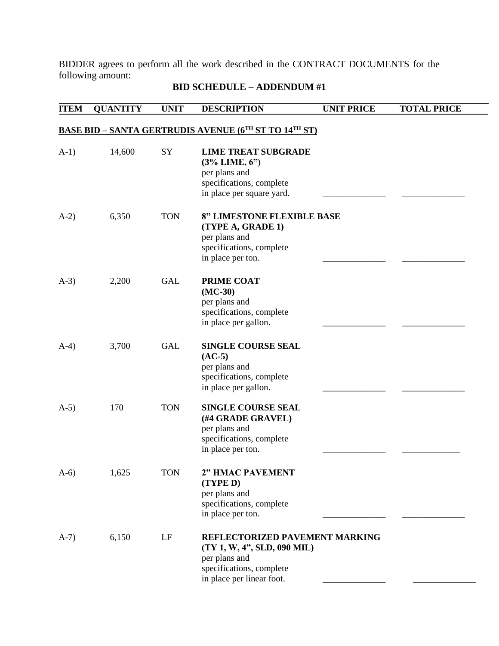BIDDER agrees to perform all the work described in the CONTRACT DOCUMENTS for the following amount:

## **BID SCHEDULE – ADDENDUM #1**

| <b>ITEM</b> | <b>QUANTITY</b> | <b>UNIT</b> | <b>DESCRIPTION</b>                                                                                                                      | <b>UNIT PRICE</b> | <b>TOTAL PRICE</b> |
|-------------|-----------------|-------------|-----------------------------------------------------------------------------------------------------------------------------------------|-------------------|--------------------|
|             |                 |             | <b>BASE BID - SANTA GERTRUDIS AVENUE (6TH ST TO 14TH ST)</b>                                                                            |                   |                    |
| $A-1)$      | 14,600          | SY          | <b>LIME TREAT SUBGRADE</b><br>$(3%$ LIME, $6")$<br>per plans and<br>specifications, complete<br>in place per square yard.               |                   |                    |
| $A-2)$      | 6,350           | <b>TON</b>  | <b>8" LIMESTONE FLEXIBLE BASE</b><br>(TYPE A, GRADE 1)<br>per plans and<br>specifications, complete<br>in place per ton.                |                   |                    |
| $A-3)$      | 2,200           | <b>GAL</b>  | <b>PRIME COAT</b><br>$(MC-30)$<br>per plans and<br>specifications, complete<br>in place per gallon.                                     |                   |                    |
| $A-4)$      | 3,700           | <b>GAL</b>  | <b>SINGLE COURSE SEAL</b><br>$(AC-5)$<br>per plans and<br>specifications, complete<br>in place per gallon.                              |                   |                    |
| $A-5)$      | 170             | <b>TON</b>  | <b>SINGLE COURSE SEAL</b><br>(#4 GRADE GRAVEL)<br>per plans and<br>specifications, complete<br>in place per ton.                        |                   |                    |
| $A-6)$      | 1,625           | <b>TON</b>  | 2" HMAC PAVEMENT<br>(TYPE D)<br>per plans and<br>specifications, complete<br>in place per ton.                                          |                   |                    |
| $A-7)$      | 6,150           | LF          | REFLECTORIZED PAVEMENT MARKING<br>(TY 1, W, 4", SLD, 090 MIL)<br>per plans and<br>specifications, complete<br>in place per linear foot. |                   |                    |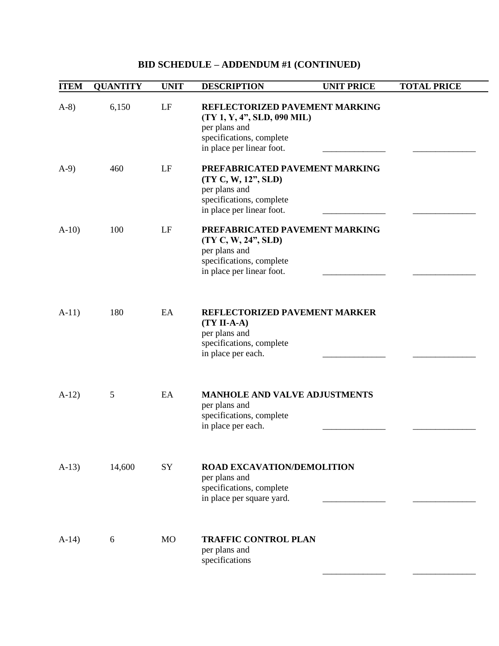| <b>ITEM</b> | <b>QUANTITY</b> | <b>UNIT</b> | <b>DESCRIPTION</b>                                                                                                                      | <b>UNIT PRICE</b> | <b>TOTAL PRICE</b> |
|-------------|-----------------|-------------|-----------------------------------------------------------------------------------------------------------------------------------------|-------------------|--------------------|
| $A-8$ )     | 6,150           | LF          | REFLECTORIZED PAVEMENT MARKING<br>(TY 1, Y, 4", SLD, 090 MIL)<br>per plans and<br>specifications, complete<br>in place per linear foot. |                   |                    |
| $A-9)$      | 460             | LF          | PREFABRICATED PAVEMENT MARKING<br>(TY C, W, 12", SLD)<br>per plans and<br>specifications, complete<br>in place per linear foot.         |                   |                    |
| $A-10$      | 100             | LF          | PREFABRICATED PAVEMENT MARKING<br>$(TY C, W, 24$ ", SLD)<br>per plans and<br>specifications, complete<br>in place per linear foot.      |                   |                    |
| $A-11)$     | 180             | EA          | REFLECTORIZED PAVEMENT MARKER<br>$(TY II-A-A)$<br>per plans and<br>specifications, complete<br>in place per each.                       |                   |                    |
| $A-12)$     | 5               | EA          | <b>MANHOLE AND VALVE ADJUSTMENTS</b><br>per plans and<br>specifications, complete<br>in place per each.                                 |                   |                    |
| $A-13)$     | 14,600          | SY          | <b>ROAD EXCAVATION/DEMOLITION</b><br>per plans and<br>specifications, complete<br>in place per square yard.                             |                   |                    |
| $A-14$      | 6               | <b>MO</b>   | <b>TRAFFIC CONTROL PLAN</b><br>per plans and<br>specifications                                                                          |                   |                    |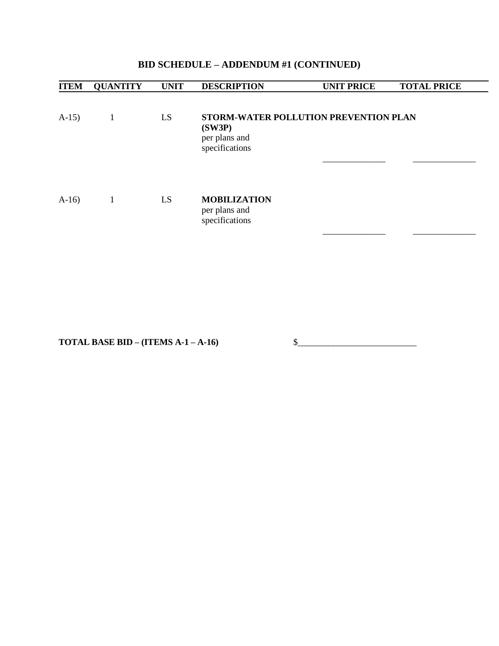| <b>ITEM</b> | <b>QUANTITY</b> | <b>UNIT</b> | <b>DESCRIPTION</b>                                               | <b>UNIT PRICE</b> | <b>TOTAL PRICE</b> |
|-------------|-----------------|-------------|------------------------------------------------------------------|-------------------|--------------------|
| $A-15$      |                 | LS          | STORM-WATER POLLUTION PREVENTION PLAN<br>(SW3P)<br>per plans and |                   |                    |
|             |                 |             | specifications                                                   |                   |                    |
| $A-16$      | Т.              | LS          | <b>MOBILIZATION</b><br>per plans and<br>specifications           |                   |                    |
|             |                 |             |                                                                  |                   |                    |

**TOTAL BASE BID – (ITEMS A-1 – A-16)**  $\qquad \qquad$  **\$\_\_\_\_\_\_\_\_\_\_\_\_\_\_\_\_\_\_\_\_\_\_\_\_\_\_\_\_\_\_\_\_\_**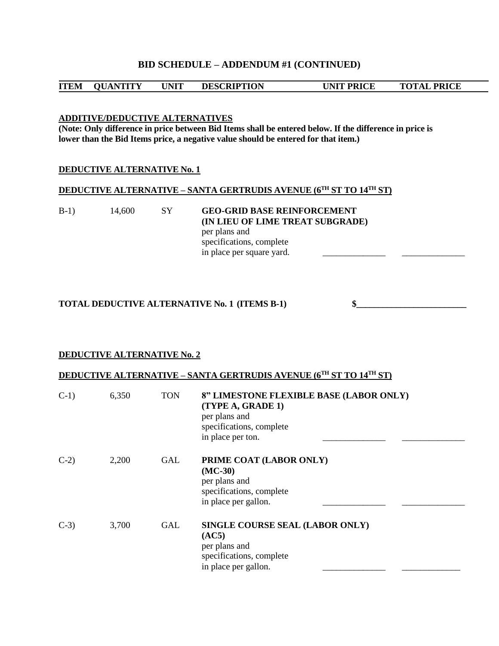**ITEM QUANTITY UNIT DESCRIPTION UNIT PRICE TOTAL PRICE**

#### **ADDITIVE/DEDUCTIVE ALTERNATIVES**

**(Note: Only difference in price between Bid Items shall be entered below. If the difference in price is lower than the Bid Items price, a negative value should be entered for that item.)**

#### **DEDUCTIVE ALTERNATIVE No. 1**

#### **DEDUCTIVE ALTERNATIVE – SANTA GERTRUDIS AVENUE (6TH ST TO 14TH ST)**

B-1) 14,600 SY **GEO-GRID BASE REINFORCEMENT (IN LIEU OF LIME TREAT SUBGRADE)** per plans and specifications, complete in place per square yard.

#### **TOTAL DEDUCTIVE ALTERNATIVE No. 1 (ITEMS B-1) \$\_\_\_\_\_\_\_\_\_\_\_\_\_\_\_\_\_\_\_\_\_\_\_\_\_**

#### **DEDUCTIVE ALTERNATIVE No. 2**

#### **DEDUCTIVE ALTERNATIVE – SANTA GERTRUDIS AVENUE (6TH ST TO 14TH ST)**

| $C-1$ | 6,350 | <b>TON</b> | 8" LIMESTONE FLEXIBLE BASE (LABOR ONLY)<br>(TYPE A, GRADE 1)<br>per plans and<br>specifications, complete<br>in place per ton. |
|-------|-------|------------|--------------------------------------------------------------------------------------------------------------------------------|
| $C-2$ | 2,200 | <b>GAL</b> | PRIME COAT (LABOR ONLY)<br>$(MC-30)$<br>per plans and<br>specifications, complete<br>in place per gallon.                      |
| $C-3$ | 3,700 | GAL        | SINGLE COURSE SEAL (LABOR ONLY)<br>(AC5)<br>per plans and<br>specifications, complete<br>in place per gallon.                  |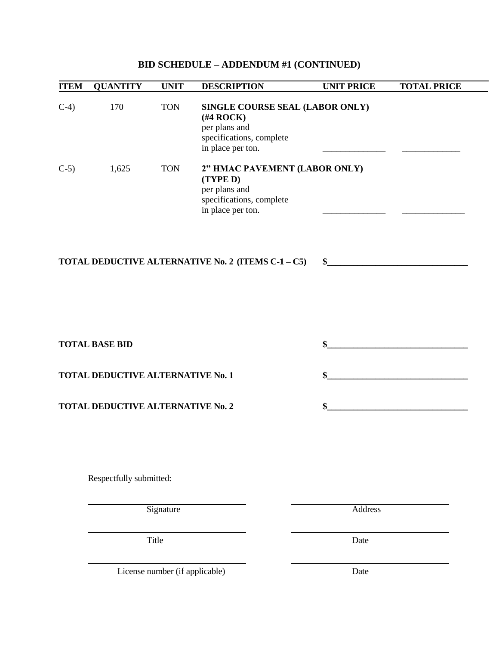| <b>ITEM</b> | <b>QUANTITY</b> | <b>UNIT</b> | <b>DESCRIPTION</b>                                                                                                  | <b>UNIT PRICE</b> | <b>TOTAL PRICE</b> |
|-------------|-----------------|-------------|---------------------------------------------------------------------------------------------------------------------|-------------------|--------------------|
| $C-4$       | 170             | <b>TON</b>  | SINGLE COURSE SEAL (LABOR ONLY)<br>$(#4$ ROCK $)$<br>per plans and<br>specifications, complete<br>in place per ton. |                   |                    |
| $C-5$       | 1,625           | <b>TON</b>  | 2" HMAC PAVEMENT (LABOR ONLY)<br>(TYPE D)<br>per plans and<br>specifications, complete<br>in place per ton.         |                   |                    |

#### **TOTAL DEDUCTIVE ALTERNATIVE No. 2 (ITEMS C-1 – C5) \$\_\_\_\_\_\_\_\_\_\_\_\_\_\_\_\_\_\_\_\_\_\_\_\_\_\_\_\_\_\_\_\_**

**TOTAL BASE BID \$\_\_\_\_\_\_\_\_\_\_\_\_\_\_\_\_\_\_\_\_\_\_\_\_\_\_\_\_\_\_\_\_**

**TOTAL DEDUCTIVE ALTERNATIVE No. 1 \$** 

**TOTAL DEDUCTIVE ALTERNATIVE No. 2 \$** 

Respectfully submitted:

Signature Address

License number (if applicable) Date

Title Date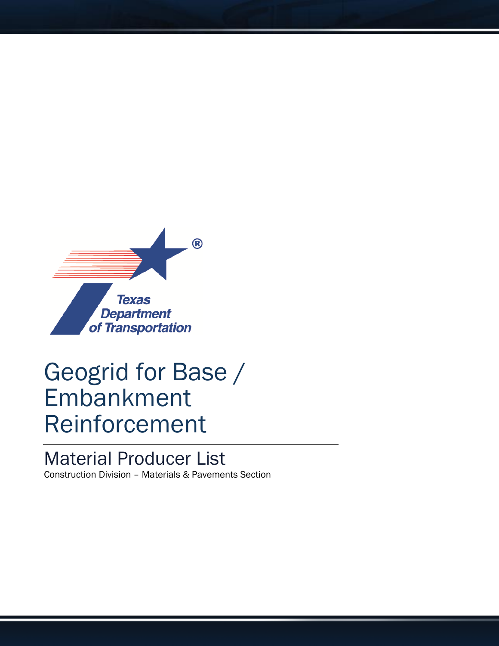

# Geogrid for Base / Embankment Reinforcement

## Material Producer List

Construction Division – Materials & Pavements Section